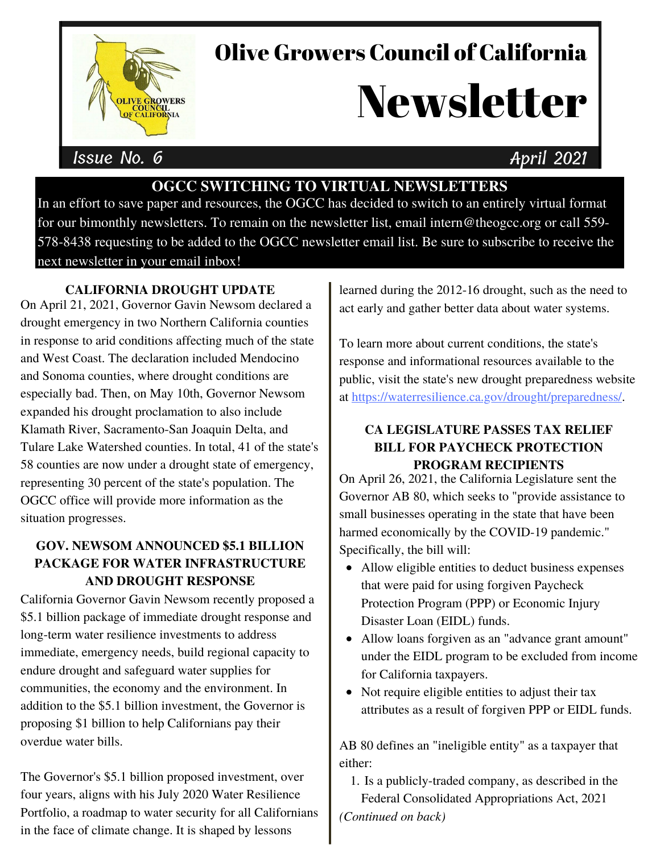

## Olive Growers Council of California

# **Newsletter**

### Issue No. 6 April 2021

#### **OGCC SWITCHING TO VIRTUAL NEWSLETTERS**

In an effort to save paper and resources, the OGCC has decided to switch to an entirely virtual format for our bimonthly newsletters. To remain on the newsletter list, email intern@theogcc.org or call 559- 578-8438 requesting to be added to the OGCC newsletter email list. Be sure to subscribe to receive the next newsletter in your email inbox!

#### **CALIFORNIA DROUGHT UPDATE**

On April 21, 2021, Governor Gavin Newsom declared a drought emergency in two Northern California counties in response to arid conditions affecting much of the state and West Coast. The declaration included Mendocino and Sonoma counties, where drought conditions are especially bad. Then, on May 10th, Governor Newsom expanded his drought proclamation to also include Klamath River, Sacramento-San Joaquin Delta, and Tulare Lake Watershed counties. In total, 41 of the state's 58 counties are now under a drought state of emergency, representing 30 percent of the state's population. The OGCC office will provide more information as the situation progresses.

#### **GOV. NEWSOM ANNOUNCED \$5.1 BILLION PACKAGE FOR WATER INFRASTRUCTURE AND DROUGHT RESPONSE**

California Governor Gavin Newsom recently proposed a \$5.1 billion package of immediate drought response and long-term water resilience investments to address immediate, emergency needs, build regional capacity to endure drought and safeguard water supplies for communities, the economy and the environment. In addition to the \$5.1 billion investment, the Governor is proposing \$1 billion to help Californians pay their overdue water bills.

The Governor's \$5.1 billion proposed investment, over four years, aligns with his July 2020 Water Resilience Portfolio, a roadmap to water security for all Californians in the face of climate change. It is shaped by lessons

learned during the 2012-16 drought, such as the need to act early and gather better data about water systems.

To learn more about current conditions, the state's response and informational resources available to the public, visit the state's new drought preparedness website at [https://waterresilience.ca.gov/drought/preparedness/](https://waterresilience.ca.gov/drought-preparedness/).

#### **CA LEGISLATURE PASSES TAX RELIEF BILL FOR PAYCHECK PROTECTION PROGRAM RECIPIENTS**

On April 26, 2021, the California Legislature sent the Governor AB 80, which seeks to "provide assistance to small businesses operating in the state that have been harmed economically by the COVID-19 pandemic." Specifically, the bill will:

- Allow eligible entities to deduct business expenses that were paid for using forgiven Paycheck Protection Program (PPP) or Economic Injury Disaster Loan (EIDL) funds.
- Allow loans forgiven as an "advance grant amount" under the EIDL program to be excluded from income for California taxpayers.
- Not require eligible entities to adjust their tax attributes as a result of forgiven PPP or EIDL funds.

AB 80 defines an "ineligible entity" as a taxpayer that either:

1. Is a publicly-traded company, as described in the Federal Consolidated Appropriations Act, 2021 *(Continued on back)*